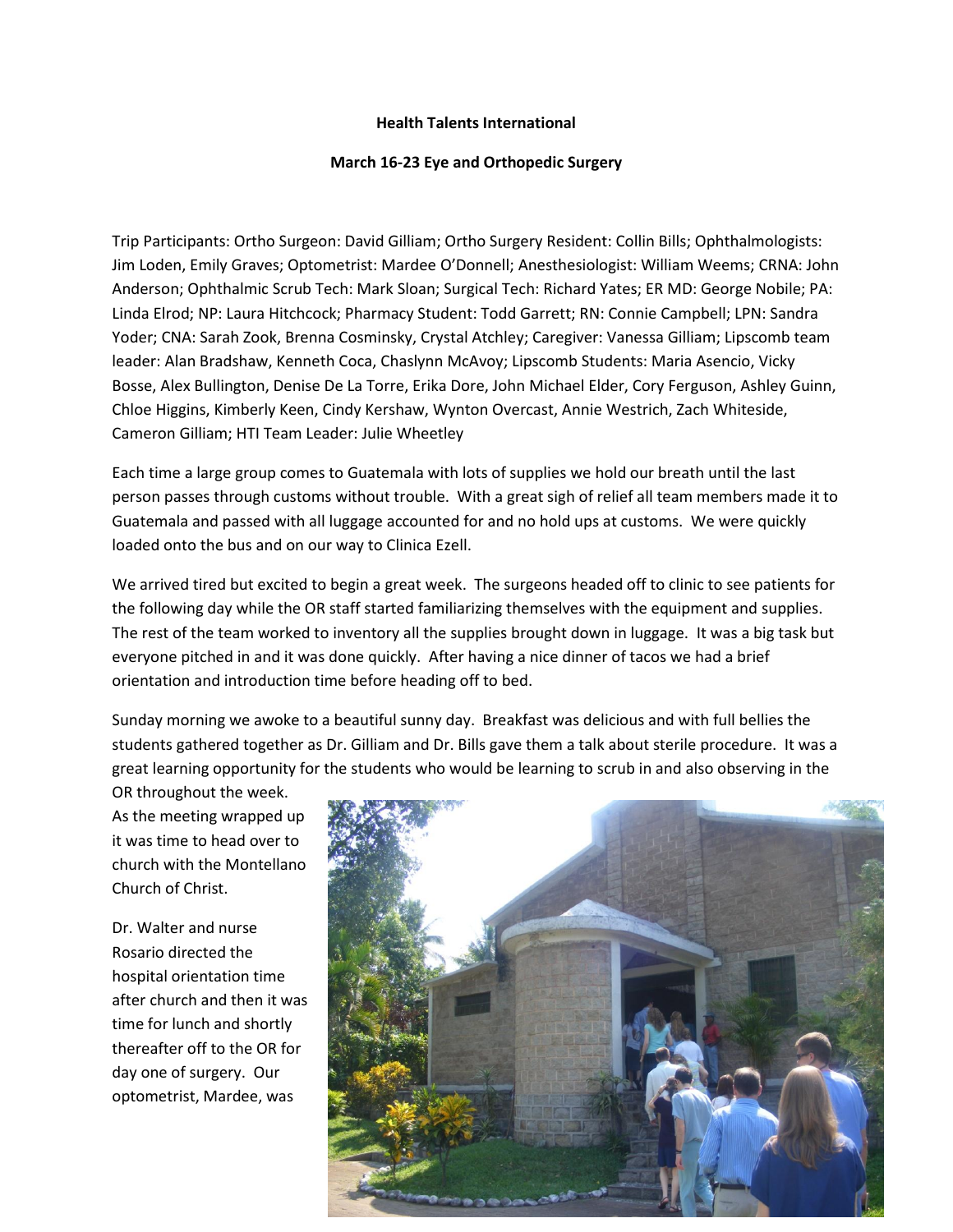## **Health Talents International**

## **March 16-23 Eye and Orthopedic Surgery**

Trip Participants: Ortho Surgeon: David Gilliam; Ortho Surgery Resident: Collin Bills; Ophthalmologists: Jim Loden, Emily Graves; Optometrist: Mardee O'Donnell; Anesthesiologist: William Weems; CRNA: John Anderson; Ophthalmic Scrub Tech: Mark Sloan; Surgical Tech: Richard Yates; ER MD: George Nobile; PA: Linda Elrod; NP: Laura Hitchcock; Pharmacy Student: Todd Garrett; RN: Connie Campbell; LPN: Sandra Yoder; CNA: Sarah Zook, Brenna Cosminsky, Crystal Atchley; Caregiver: Vanessa Gilliam; Lipscomb team leader: Alan Bradshaw, Kenneth Coca, Chaslynn McAvoy; Lipscomb Students: Maria Asencio, Vicky Bosse, Alex Bullington, Denise De La Torre, Erika Dore, John Michael Elder, Cory Ferguson, Ashley Guinn, Chloe Higgins, Kimberly Keen, Cindy Kershaw, Wynton Overcast, Annie Westrich, Zach Whiteside, Cameron Gilliam; HTI Team Leader: Julie Wheetley

Each time a large group comes to Guatemala with lots of supplies we hold our breath until the last person passes through customs without trouble. With a great sigh of relief all team members made it to Guatemala and passed with all luggage accounted for and no hold ups at customs. We were quickly loaded onto the bus and on our way to Clinica Ezell.

We arrived tired but excited to begin a great week. The surgeons headed off to clinic to see patients for the following day while the OR staff started familiarizing themselves with the equipment and supplies. The rest of the team worked to inventory all the supplies brought down in luggage. It was a big task but everyone pitched in and it was done quickly. After having a nice dinner of tacos we had a brief orientation and introduction time before heading off to bed.

Sunday morning we awoke to a beautiful sunny day. Breakfast was delicious and with full bellies the students gathered together as Dr. Gilliam and Dr. Bills gave them a talk about sterile procedure. It was a great learning opportunity for the students who would be learning to scrub in and also observing in the

OR throughout the week. As the meeting wrapped up it was time to head over to church with the Montellano Church of Christ.

Dr. Walter and nurse Rosario directed the hospital orientation time after church and then it was time for lunch and shortly thereafter off to the OR for day one of surgery. Our optometrist, Mardee, was

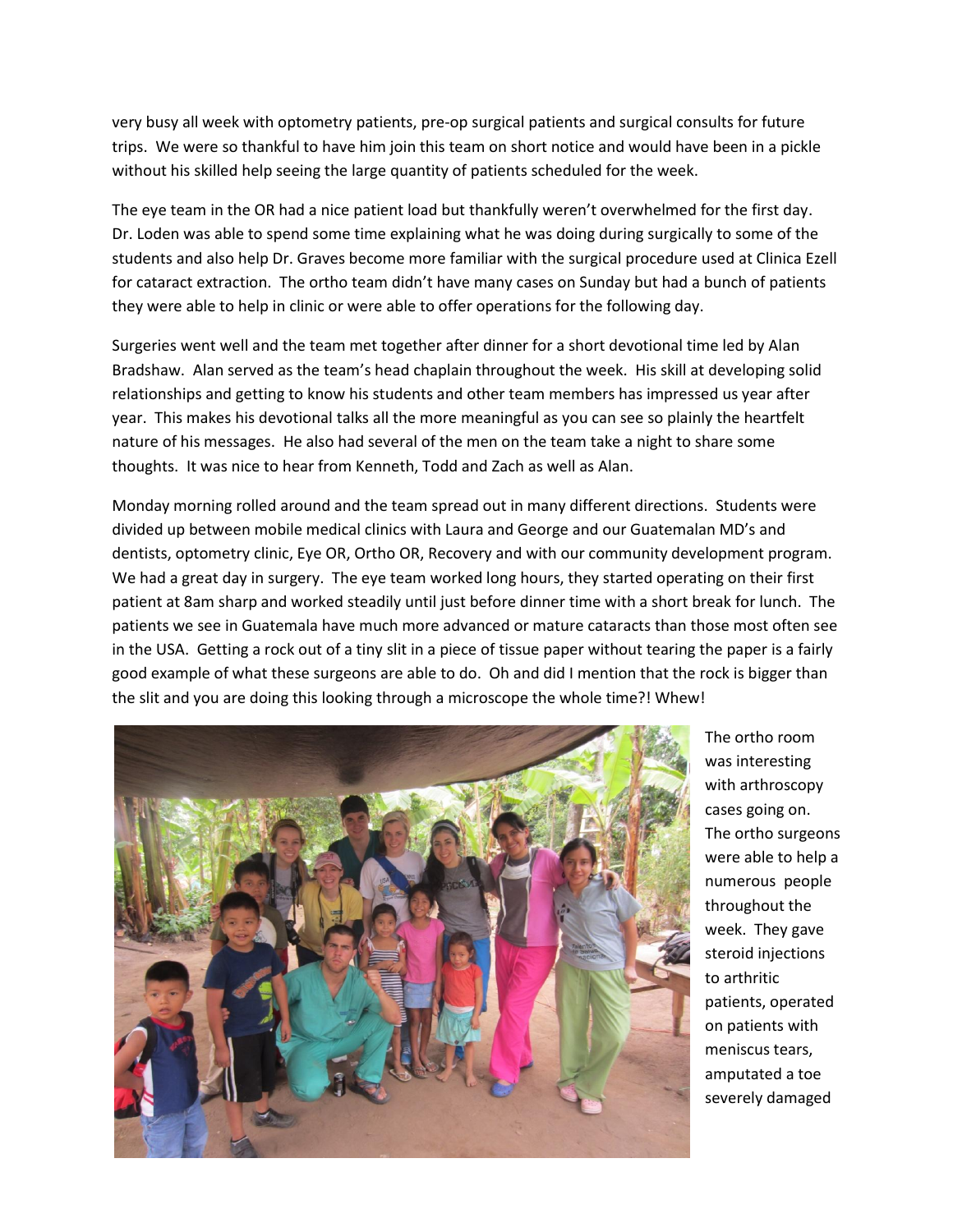very busy all week with optometry patients, pre-op surgical patients and surgical consults for future trips. We were so thankful to have him join this team on short notice and would have been in a pickle without his skilled help seeing the large quantity of patients scheduled for the week.

The eye team in the OR had a nice patient load but thankfully weren't overwhelmed for the first day. Dr. Loden was able to spend some time explaining what he was doing during surgically to some of the students and also help Dr. Graves become more familiar with the surgical procedure used at Clinica Ezell for cataract extraction. The ortho team didn't have many cases on Sunday but had a bunch of patients they were able to help in clinic or were able to offer operations for the following day.

Surgeries went well and the team met together after dinner for a short devotional time led by Alan Bradshaw. Alan served as the team's head chaplain throughout the week. His skill at developing solid relationships and getting to know his students and other team members has impressed us year after year. This makes his devotional talks all the more meaningful as you can see so plainly the heartfelt nature of his messages. He also had several of the men on the team take a night to share some thoughts. It was nice to hear from Kenneth, Todd and Zach as well as Alan.

Monday morning rolled around and the team spread out in many different directions. Students were divided up between mobile medical clinics with Laura and George and our Guatemalan MD's and dentists, optometry clinic, Eye OR, Ortho OR, Recovery and with our community development program. We had a great day in surgery. The eye team worked long hours, they started operating on their first patient at 8am sharp and worked steadily until just before dinner time with a short break for lunch. The patients we see in Guatemala have much more advanced or mature cataracts than those most often see in the USA. Getting a rock out of a tiny slit in a piece of tissue paper without tearing the paper is a fairly good example of what these surgeons are able to do. Oh and did I mention that the rock is bigger than the slit and you are doing this looking through a microscope the whole time?! Whew!



The ortho room was interesting with arthroscopy cases going on. The ortho surgeons were able to help a numerous people throughout the week. They gave steroid injections to arthritic patients, operated on patients with meniscus tears, amputated a toe severely damaged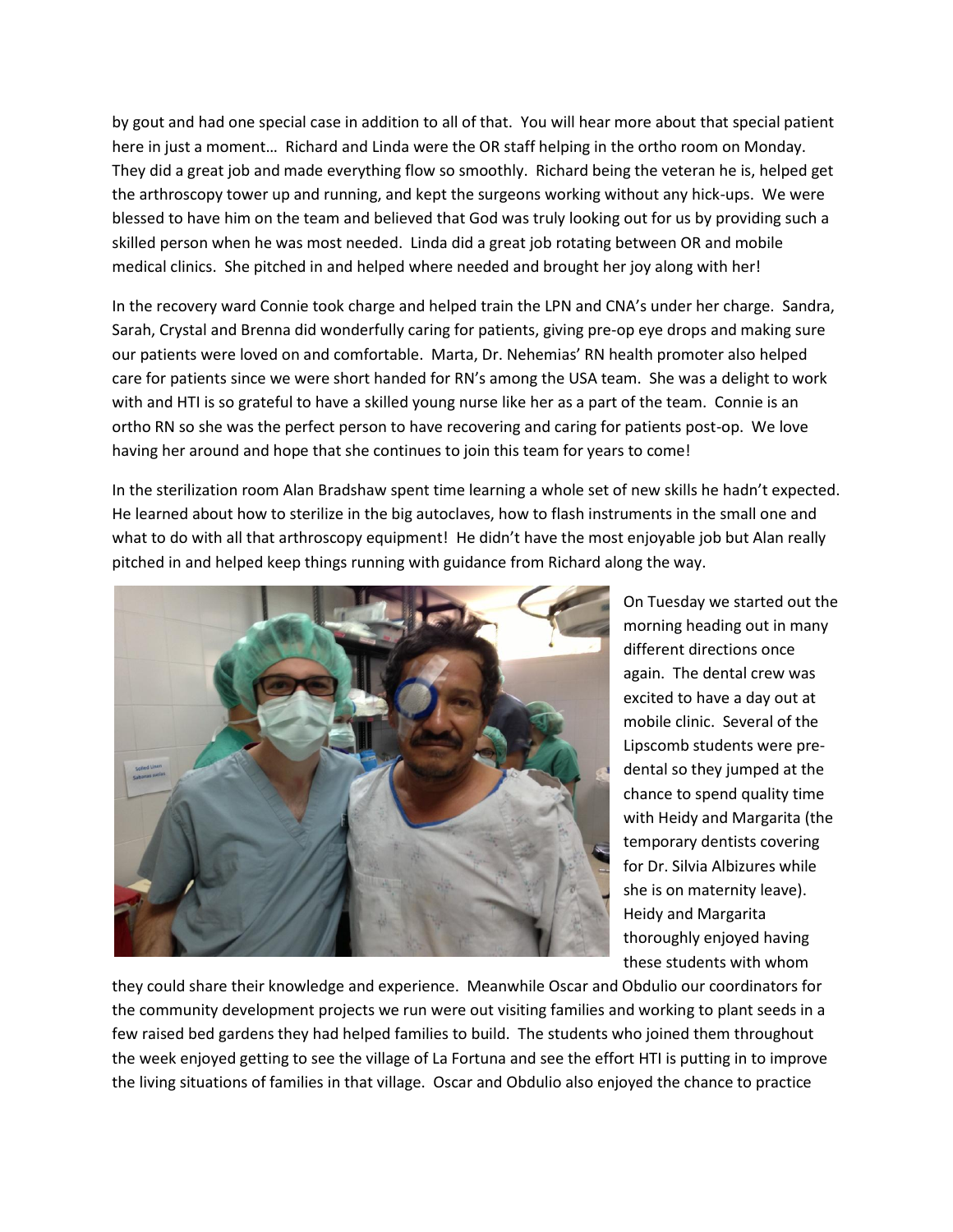by gout and had one special case in addition to all of that. You will hear more about that special patient here in just a moment… Richard and Linda were the OR staff helping in the ortho room on Monday. They did a great job and made everything flow so smoothly. Richard being the veteran he is, helped get the arthroscopy tower up and running, and kept the surgeons working without any hick-ups. We were blessed to have him on the team and believed that God was truly looking out for us by providing such a skilled person when he was most needed. Linda did a great job rotating between OR and mobile medical clinics. She pitched in and helped where needed and brought her joy along with her!

In the recovery ward Connie took charge and helped train the LPN and CNA's under her charge. Sandra, Sarah, Crystal and Brenna did wonderfully caring for patients, giving pre-op eye drops and making sure our patients were loved on and comfortable. Marta, Dr. Nehemias' RN health promoter also helped care for patients since we were short handed for RN's among the USA team. She was a delight to work with and HTI is so grateful to have a skilled young nurse like her as a part of the team. Connie is an ortho RN so she was the perfect person to have recovering and caring for patients post-op. We love having her around and hope that she continues to join this team for years to come!

In the sterilization room Alan Bradshaw spent time learning a whole set of new skills he hadn't expected. He learned about how to sterilize in the big autoclaves, how to flash instruments in the small one and what to do with all that arthroscopy equipment! He didn't have the most enjoyable job but Alan really pitched in and helped keep things running with guidance from Richard along the way.



On Tuesday we started out the morning heading out in many different directions once again. The dental crew was excited to have a day out at mobile clinic. Several of the Lipscomb students were predental so they jumped at the chance to spend quality time with Heidy and Margarita (the temporary dentists covering for Dr. Silvia Albizures while she is on maternity leave). Heidy and Margarita thoroughly enjoyed having these students with whom

they could share their knowledge and experience. Meanwhile Oscar and Obdulio our coordinators for the community development projects we run were out visiting families and working to plant seeds in a few raised bed gardens they had helped families to build. The students who joined them throughout the week enjoyed getting to see the village of La Fortuna and see the effort HTI is putting in to improve the living situations of families in that village. Oscar and Obdulio also enjoyed the chance to practice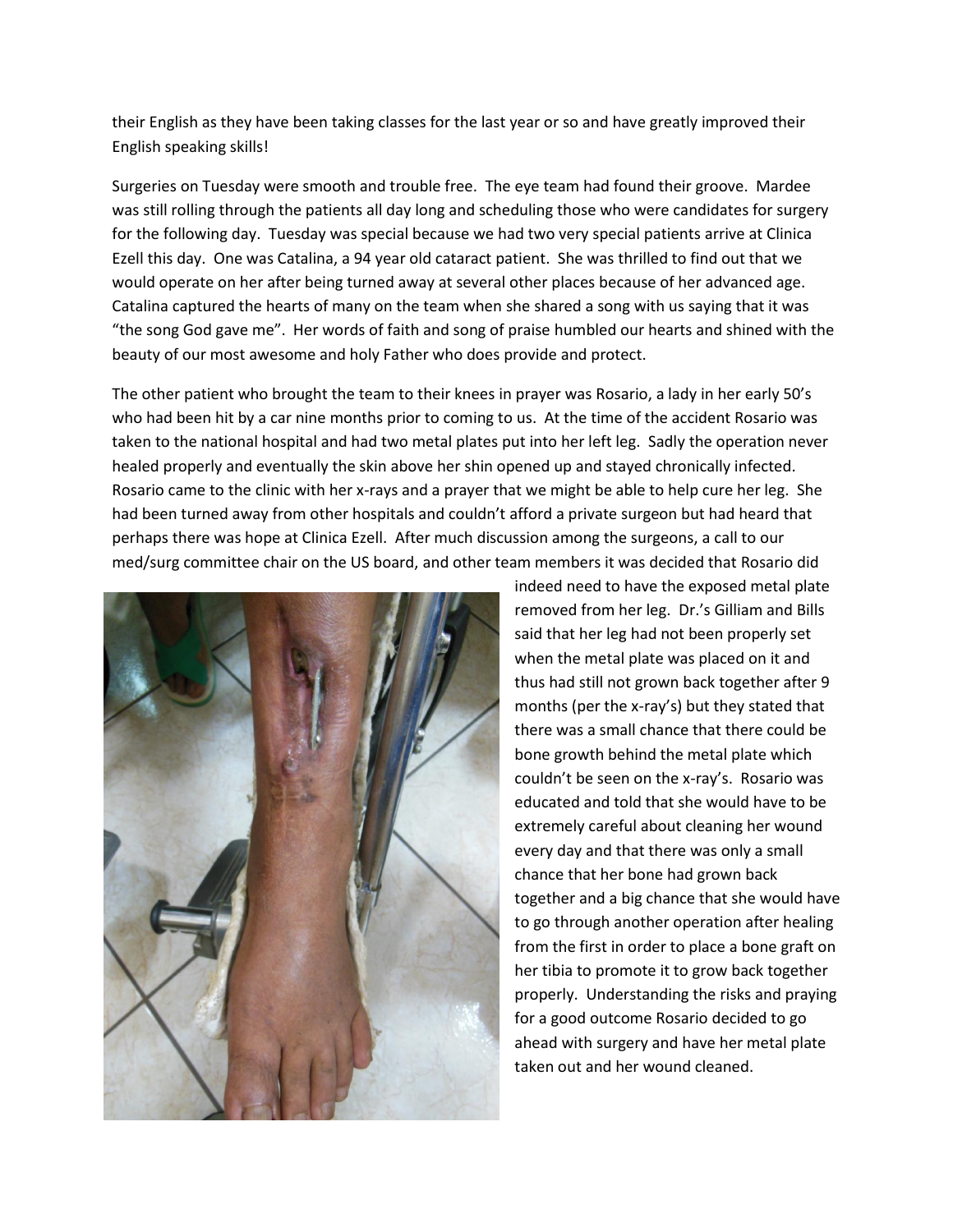their English as they have been taking classes for the last year or so and have greatly improved their English speaking skills!

Surgeries on Tuesday were smooth and trouble free. The eye team had found their groove. Mardee was still rolling through the patients all day long and scheduling those who were candidates for surgery for the following day. Tuesday was special because we had two very special patients arrive at Clinica Ezell this day. One was Catalina, a 94 year old cataract patient. She was thrilled to find out that we would operate on her after being turned away at several other places because of her advanced age. Catalina captured the hearts of many on the team when she shared a song with us saying that it was "the song God gave me". Her words of faith and song of praise humbled our hearts and shined with the beauty of our most awesome and holy Father who does provide and protect.

The other patient who brought the team to their knees in prayer was Rosario, a lady in her early 50's who had been hit by a car nine months prior to coming to us. At the time of the accident Rosario was taken to the national hospital and had two metal plates put into her left leg. Sadly the operation never healed properly and eventually the skin above her shin opened up and stayed chronically infected. Rosario came to the clinic with her x-rays and a prayer that we might be able to help cure her leg. She had been turned away from other hospitals and couldn't afford a private surgeon but had heard that perhaps there was hope at Clinica Ezell. After much discussion among the surgeons, a call to our med/surg committee chair on the US board, and other team members it was decided that Rosario did



indeed need to have the exposed metal plate removed from her leg. Dr.'s Gilliam and Bills said that her leg had not been properly set when the metal plate was placed on it and thus had still not grown back together after 9 months (per the x-ray's) but they stated that there was a small chance that there could be bone growth behind the metal plate which couldn't be seen on the x-ray's. Rosario was educated and told that she would have to be extremely careful about cleaning her wound every day and that there was only a small chance that her bone had grown back together and a big chance that she would have to go through another operation after healing from the first in order to place a bone graft on her tibia to promote it to grow back together properly. Understanding the risks and praying for a good outcome Rosario decided to go ahead with surgery and have her metal plate taken out and her wound cleaned.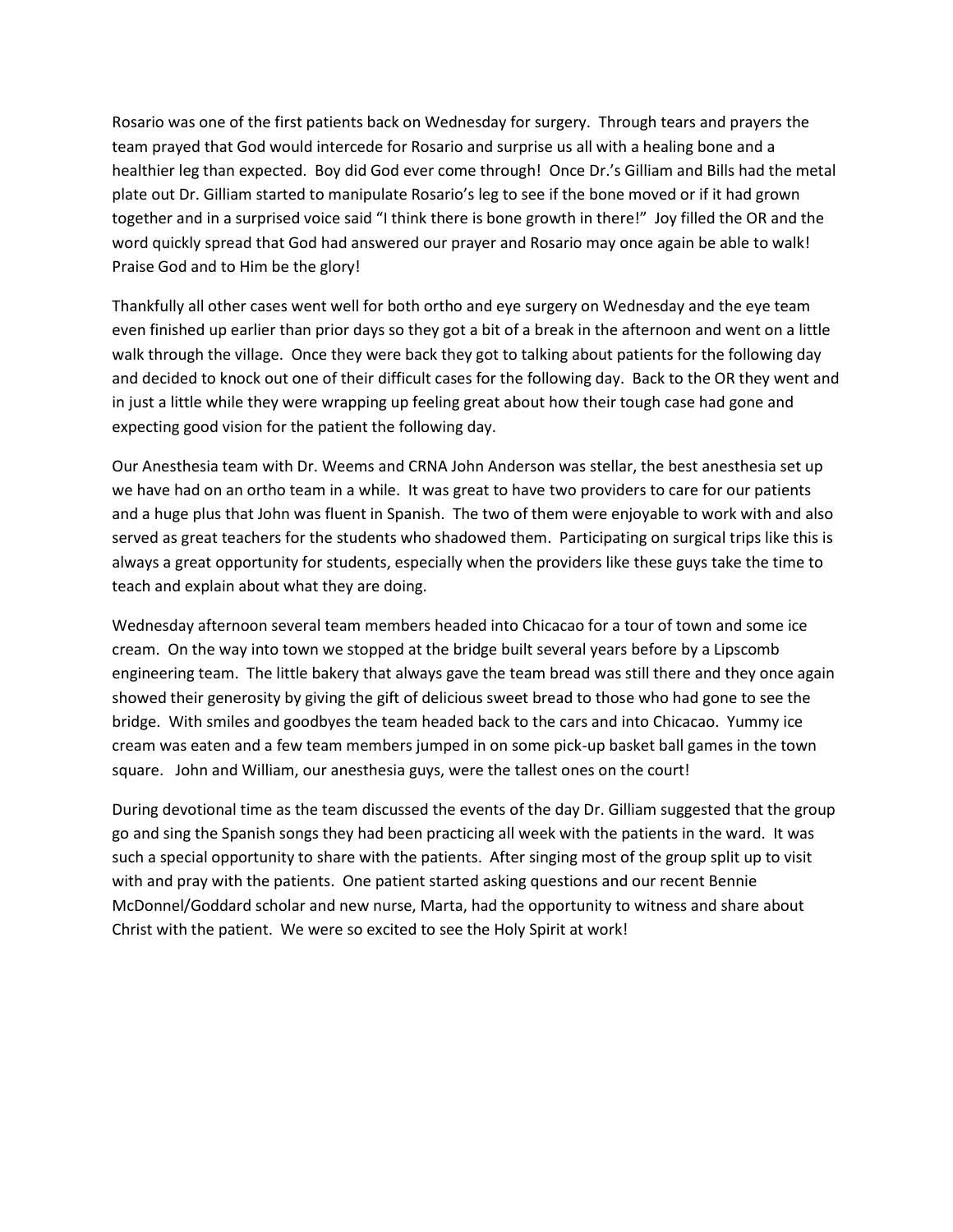Rosario was one of the first patients back on Wednesday for surgery. Through tears and prayers the team prayed that God would intercede for Rosario and surprise us all with a healing bone and a healthier leg than expected. Boy did God ever come through! Once Dr.'s Gilliam and Bills had the metal plate out Dr. Gilliam started to manipulate Rosario's leg to see if the bone moved or if it had grown together and in a surprised voice said "I think there is bone growth in there!" Joy filled the OR and the word quickly spread that God had answered our prayer and Rosario may once again be able to walk! Praise God and to Him be the glory!

Thankfully all other cases went well for both ortho and eye surgery on Wednesday and the eye team even finished up earlier than prior days so they got a bit of a break in the afternoon and went on a little walk through the village. Once they were back they got to talking about patients for the following day and decided to knock out one of their difficult cases for the following day. Back to the OR they went and in just a little while they were wrapping up feeling great about how their tough case had gone and expecting good vision for the patient the following day.

Our Anesthesia team with Dr. Weems and CRNA John Anderson was stellar, the best anesthesia set up we have had on an ortho team in a while. It was great to have two providers to care for our patients and a huge plus that John was fluent in Spanish. The two of them were enjoyable to work with and also served as great teachers for the students who shadowed them. Participating on surgical trips like this is always a great opportunity for students, especially when the providers like these guys take the time to teach and explain about what they are doing.

Wednesday afternoon several team members headed into Chicacao for a tour of town and some ice cream. On the way into town we stopped at the bridge built several years before by a Lipscomb engineering team. The little bakery that always gave the team bread was still there and they once again showed their generosity by giving the gift of delicious sweet bread to those who had gone to see the bridge. With smiles and goodbyes the team headed back to the cars and into Chicacao. Yummy ice cream was eaten and a few team members jumped in on some pick-up basket ball games in the town square. John and William, our anesthesia guys, were the tallest ones on the court!

During devotional time as the team discussed the events of the day Dr. Gilliam suggested that the group go and sing the Spanish songs they had been practicing all week with the patients in the ward. It was such a special opportunity to share with the patients. After singing most of the group split up to visit with and pray with the patients. One patient started asking questions and our recent Bennie McDonnel/Goddard scholar and new nurse, Marta, had the opportunity to witness and share about Christ with the patient. We were so excited to see the Holy Spirit at work!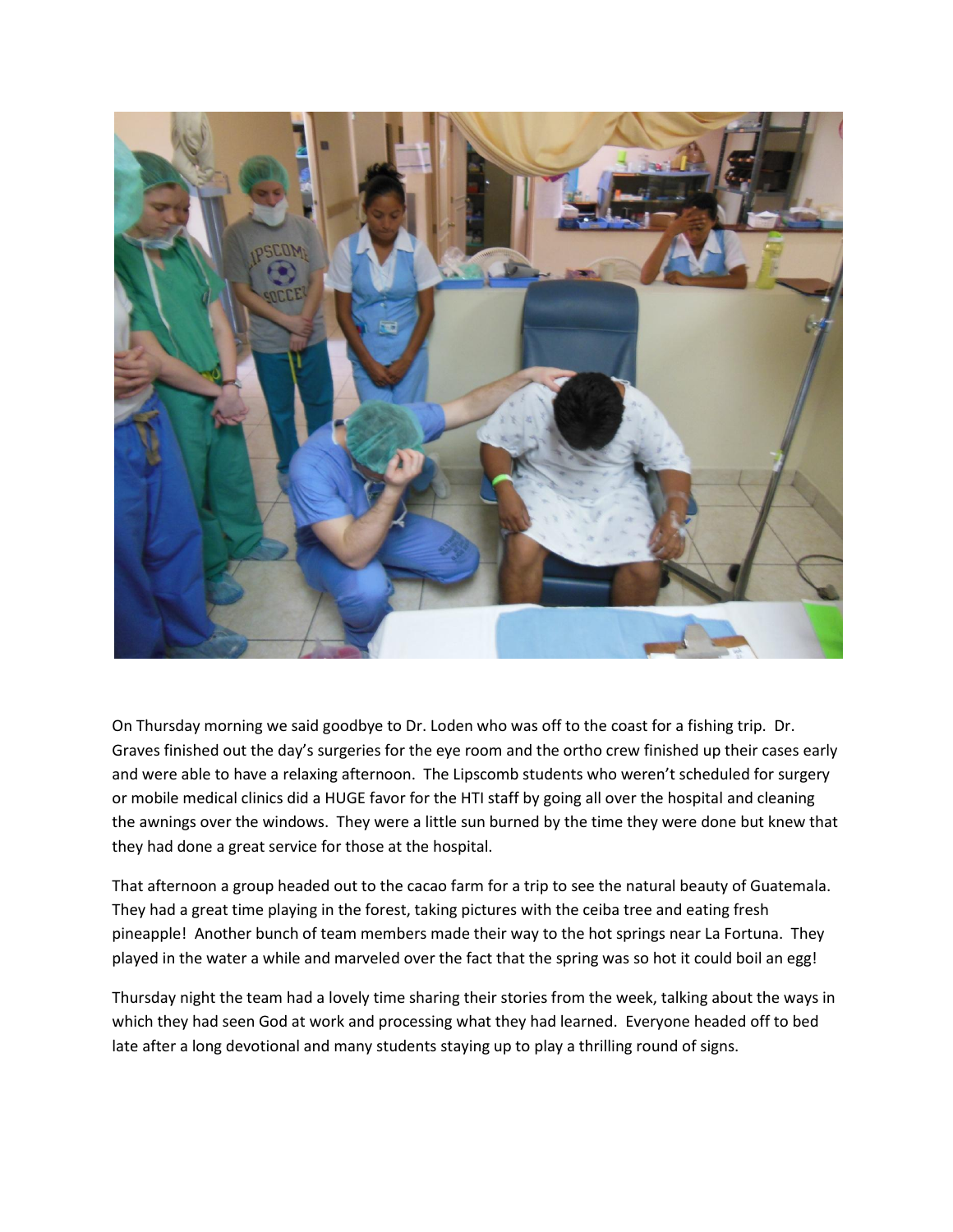

On Thursday morning we said goodbye to Dr. Loden who was off to the coast for a fishing trip. Dr. Graves finished out the day's surgeries for the eye room and the ortho crew finished up their cases early and were able to have a relaxing afternoon. The Lipscomb students who weren't scheduled for surgery or mobile medical clinics did a HUGE favor for the HTI staff by going all over the hospital and cleaning the awnings over the windows. They were a little sun burned by the time they were done but knew that they had done a great service for those at the hospital.

That afternoon a group headed out to the cacao farm for a trip to see the natural beauty of Guatemala. They had a great time playing in the forest, taking pictures with the ceiba tree and eating fresh pineapple! Another bunch of team members made their way to the hot springs near La Fortuna. They played in the water a while and marveled over the fact that the spring was so hot it could boil an egg!

Thursday night the team had a lovely time sharing their stories from the week, talking about the ways in which they had seen God at work and processing what they had learned. Everyone headed off to bed late after a long devotional and many students staying up to play a thrilling round of signs.